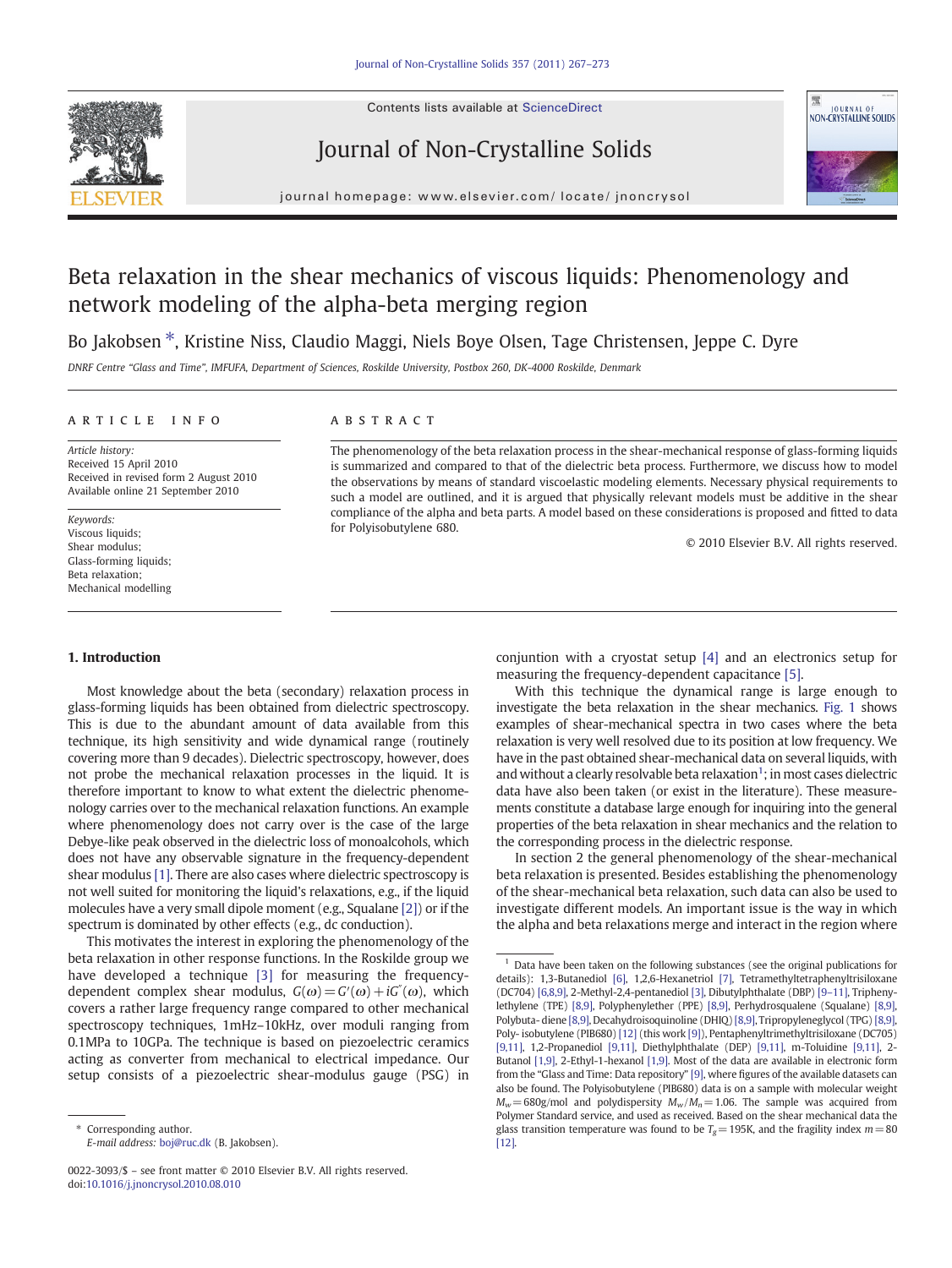Contents lists available at ScienceDirect







**IOURNAL OF** 

journal homepage: www.elsevier.com/ locate/ jnoncrysol

# Beta relaxation in the shear mechanics of viscous liquids: Phenomenology and network modeling of the alpha-beta merging region

Bo Jakobsen \*, Kristine Niss, Claudio Maggi, Niels Boye Olsen, Tage Christensen, Jeppe C. Dyre

DNRF Centre "Glass and Time", IMFUFA, Department of Sciences, Roskilde University, Postbox 260, DK-4000 Roskilde, Denmark

# article info abstract

Article history: Received 15 April 2010 Received in revised form 2 August 2010 Available online 21 September 2010

Keywords: Viscous liquids: Shear modulus; Glass-forming liquids; Beta relaxation; Mechanical modelling

The phenomenology of the beta relaxation process in the shear-mechanical response of glass-forming liquids is summarized and compared to that of the dielectric beta process. Furthermore, we discuss how to model the observations by means of standard viscoelastic modeling elements. Necessary physical requirements to such a model are outlined, and it is argued that physically relevant models must be additive in the shear compliance of the alpha and beta parts. A model based on these considerations is proposed and fitted to data for Polyisobutylene 680.

© 2010 Elsevier B.V. All rights reserved.

# 1. Introduction

Most knowledge about the beta (secondary) relaxation process in glass-forming liquids has been obtained from dielectric spectroscopy. This is due to the abundant amount of data available from this technique, its high sensitivity and wide dynamical range (routinely covering more than 9 decades). Dielectric spectroscopy, however, does not probe the mechanical relaxation processes in the liquid. It is therefore important to know to what extent the dielectric phenomenology carries over to the mechanical relaxation functions. An example where phenomenology does not carry over is the case of the large Debye-like peak observed in the dielectric loss of monoalcohols, which does not have any observable signature in the frequency-dependent shear modulus [\[1\]](#page-5-0). There are also cases where dielectric spectroscopy is not well suited for monitoring the liquid's relaxations, e.g., if the liquid molecules have a very small dipole moment (e.g., Squalane [\[2\]](#page-6-0)) or if the spectrum is dominated by other effects (e.g., dc conduction).

This motivates the interest in exploring the phenomenology of the beta relaxation in other response functions. In the Roskilde group we have developed a technique [\[3\]](#page-6-0) for measuring the frequencydependent complex shear modulus,  $G(\omega) = G'(\omega) + iG'(\omega)$ , which covers a rather large frequency range compared to other mechanical spectroscopy techniques, 1mHz–10kHz, over moduli ranging from 0.1MPa to 10GPa. The technique is based on piezoelectric ceramics acting as converter from mechanical to electrical impedance. Our setup consists of a piezoelectric shear-modulus gauge (PSG) in

conjuntion with a cryostat setup [\[4\]](#page-6-0) and an electronics setup for measuring the frequency-dependent capacitance [\[5\]](#page-6-0).

With this technique the dynamical range is large enough to investigate the beta relaxation in the shear mechanics. [Fig. 1](#page-1-0) shows examples of shear-mechanical spectra in two cases where the beta relaxation is very well resolved due to its position at low frequency. We have in the past obtained shear-mechanical data on several liquids, with and without a clearly resolvable beta relaxation<sup>1</sup>; in most cases dielectric data have also been taken (or exist in the literature). These measurements constitute a database large enough for inquiring into the general properties of the beta relaxation in shear mechanics and the relation to the corresponding process in the dielectric response.

In section 2 the general phenomenology of the shear-mechanical beta relaxation is presented. Besides establishing the phenomenology of the shear-mechanical beta relaxation, such data can also be used to investigate different models. An important issue is the way in which the alpha and beta relaxations merge and interact in the region where

<sup>⁎</sup> Corresponding author. E-mail address: [boj@ruc.dk](mailto:boj@ruc.dk) (B. Jakobsen).

<sup>0022-3093/\$</sup> – see front matter © 2010 Elsevier B.V. All rights reserved. doi:[10.1016/j.jnoncrysol.2010.08.010](http://dx.doi.org/10.1016/j.jnoncrysol.2010.08.010)

 $1$  Data have been taken on the following substances (see the original publications for details): 1,3-Butanediol [\[6\],](#page-6-0) 1,2,6-Hexanetriol [\[7\]](#page-6-0), Tetramethyltetraphenyltrisiloxane (DC704) [\[6,8,9\]](#page-6-0), 2-Methyl-2,4-pentanediol [\[3\]](#page-6-0), Dibutylphthalate (DBP) [9–[11\]](#page-6-0), Triphenylethylene (TPE) [\[8,9\],](#page-6-0) Polyphenylether (PPE) [\[8,9\],](#page-6-0) Perhydrosqualene (Squalane) [\[8,9\]](#page-6-0), Polybuta- diene [\[8,9\],](#page-6-0) Decahydroisoquinoline (DHIQ) [\[8,9\],](#page-6-0) Tripropyleneglycol (TPG) [\[8,9\]](#page-6-0), Poly- isobutylene (PIB680) [\[12\]](#page-6-0) (this work [\[9\]](#page-6-0)), Pentaphenyltrimethyltrisiloxane (DC705) [\[9,11\],](#page-6-0) 1,2-Propanediol [\[9,11\]](#page-6-0), Diethylphthalate (DEP) [\[9,11\]](#page-6-0), m-Toluidine [\[9,11\]](#page-6-0), 2- Butanol [\[1,9\]](#page-5-0), 2-Ethyl-1-hexanol [\[1,9\].](#page-5-0) Most of the data are available in electronic form from the "Glass and Time: Data repository" [\[9\]](#page-6-0), where figures of the available datasets can also be found. The Polyisobutylene (PIB680) data is on a sample with molecular weight  $M_w$ =680g/mol and polydispersity  $M_w / M_n$ =1.06. The sample was acquired from Polymer Standard service, and used as received. Based on the shear mechanical data the glass transition temperature was found to be  $T_g=195$ K, and the fragility index  $m=80$ [\[12\].](#page-6-0)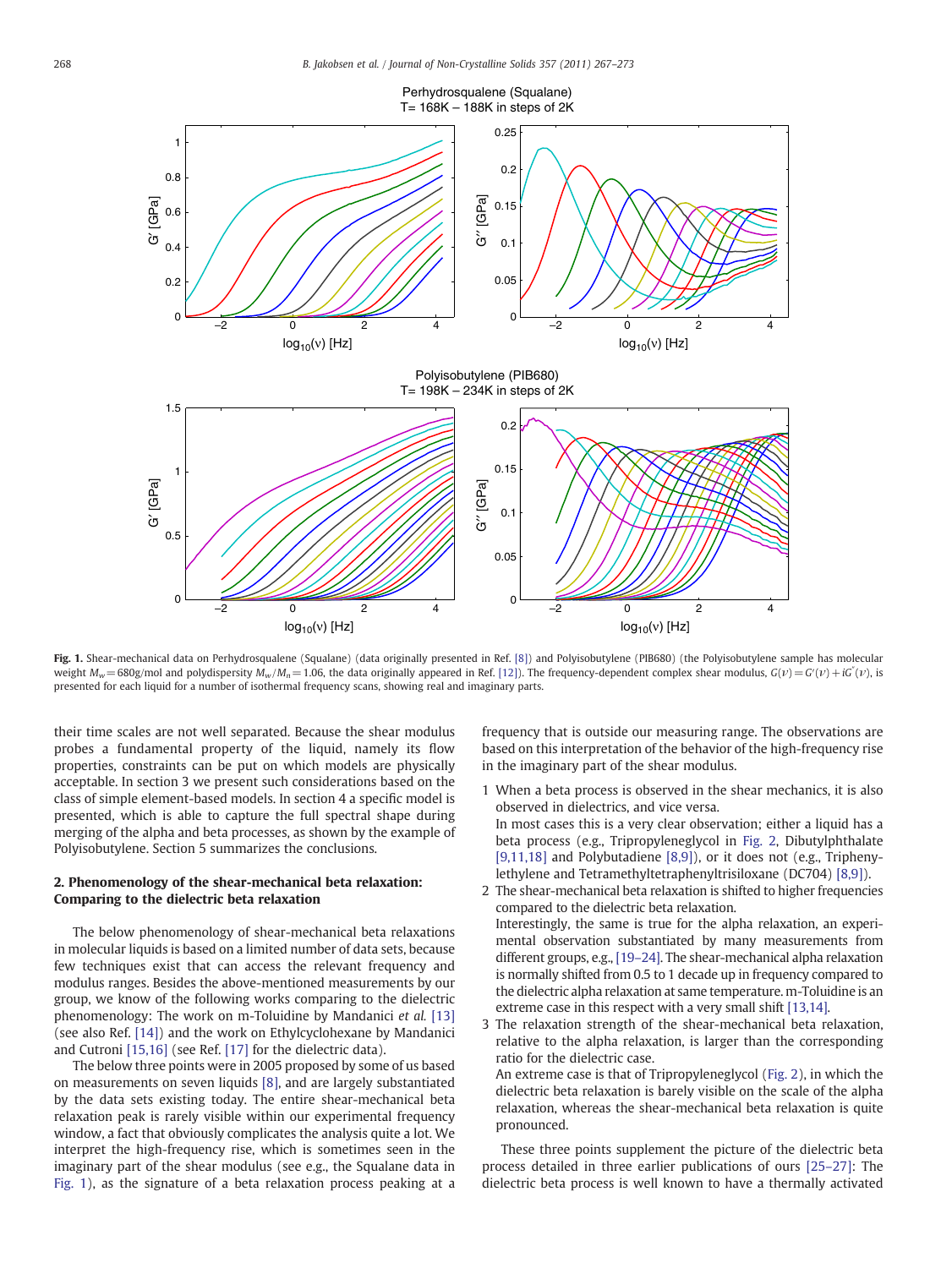<span id="page-1-0"></span>

Fig. 1. Shear-mechanical data on Perhydrosqualene (Squalane) (data originally presented in Ref. [\[8\]](#page-6-0)) and Polyisobutylene (PIB680) (the Polyisobutylene sample has molecular weight  $M_w = 680$ g/mol and polydispersity  $M_w / M_n = 1.06$ , the data originally appeared in Ref. [\[12\]\)](#page-6-0). The frequency-dependent complex shear modulus,  $G(v) = G'(v) + iG'(v)$ , is presented for each liquid for a number of isothermal frequency scans, showing real and imaginary parts.

their time scales are not well separated. Because the shear modulus probes a fundamental property of the liquid, namely its flow properties, constraints can be put on which models are physically acceptable. In section 3 we present such considerations based on the class of simple element-based models. In section 4 a specific model is presented, which is able to capture the full spectral shape during merging of the alpha and beta processes, as shown by the example of Polyisobutylene. Section 5 summarizes the conclusions.

# 2. Phenomenology of the shear-mechanical beta relaxation: Comparing to the dielectric beta relaxation

The below phenomenology of shear-mechanical beta relaxations in molecular liquids is based on a limited number of data sets, because few techniques exist that can access the relevant frequency and modulus ranges. Besides the above-mentioned measurements by our group, we know of the following works comparing to the dielectric phenomenology: The work on m-Toluidine by Mandanici et al. [\[13\]](#page-6-0) (see also Ref. [\[14\]](#page-6-0)) and the work on Ethylcyclohexane by Mandanici and Cutroni [\[15,16\]](#page-6-0) (see Ref. [\[17\]](#page-6-0) for the dielectric data).

The below three points were in 2005 proposed by some of us based on measurements on seven liquids [\[8\]](#page-6-0), and are largely substantiated by the data sets existing today. The entire shear-mechanical beta relaxation peak is rarely visible within our experimental frequency window, a fact that obviously complicates the analysis quite a lot. We interpret the high-frequency rise, which is sometimes seen in the imaginary part of the shear modulus (see e.g., the Squalane data in Fig. 1), as the signature of a beta relaxation process peaking at a frequency that is outside our measuring range. The observations are based on this interpretation of the behavior of the high-frequency rise in the imaginary part of the shear modulus.

- 1 When a beta process is observed in the shear mechanics, it is also observed in dielectrics, and vice versa. In most cases this is a very clear observation; either a liquid has a beta process (e.g., Tripropyleneglycol in [Fig. 2,](#page-2-0) Dibutylphthalate [\[9,11,18\]](#page-6-0) and Polybutadiene [\[8,9\]\)](#page-6-0), or it does not (e.g., Triphenylethylene and Tetramethyltetraphenyltrisiloxane (DC704) [\[8,9\]](#page-6-0)).
- 2 The shear-mechanical beta relaxation is shifted to higher frequencies compared to the dielectric beta relaxation.

Interestingly, the same is true for the alpha relaxation, an experimental observation substantiated by many measurements from different groups, e.g., [\[19](#page-6-0)–24]. The shear-mechanical alpha relaxation is normally shifted from 0.5 to 1 decade up in frequency compared to the dielectric alpha relaxation at same temperature. m-Toluidine is an extreme case in this respect with a very small shift [\[13,14\].](#page-6-0)

3 The relaxation strength of the shear-mechanical beta relaxation, relative to the alpha relaxation, is larger than the corresponding ratio for the dielectric case.

An extreme case is that of Tripropyleneglycol [\(Fig. 2\)](#page-2-0), in which the dielectric beta relaxation is barely visible on the scale of the alpha relaxation, whereas the shear-mechanical beta relaxation is quite pronounced.

These three points supplement the picture of the dielectric beta process detailed in three earlier publications of ours [25–[27\]](#page-6-0): The dielectric beta process is well known to have a thermally activated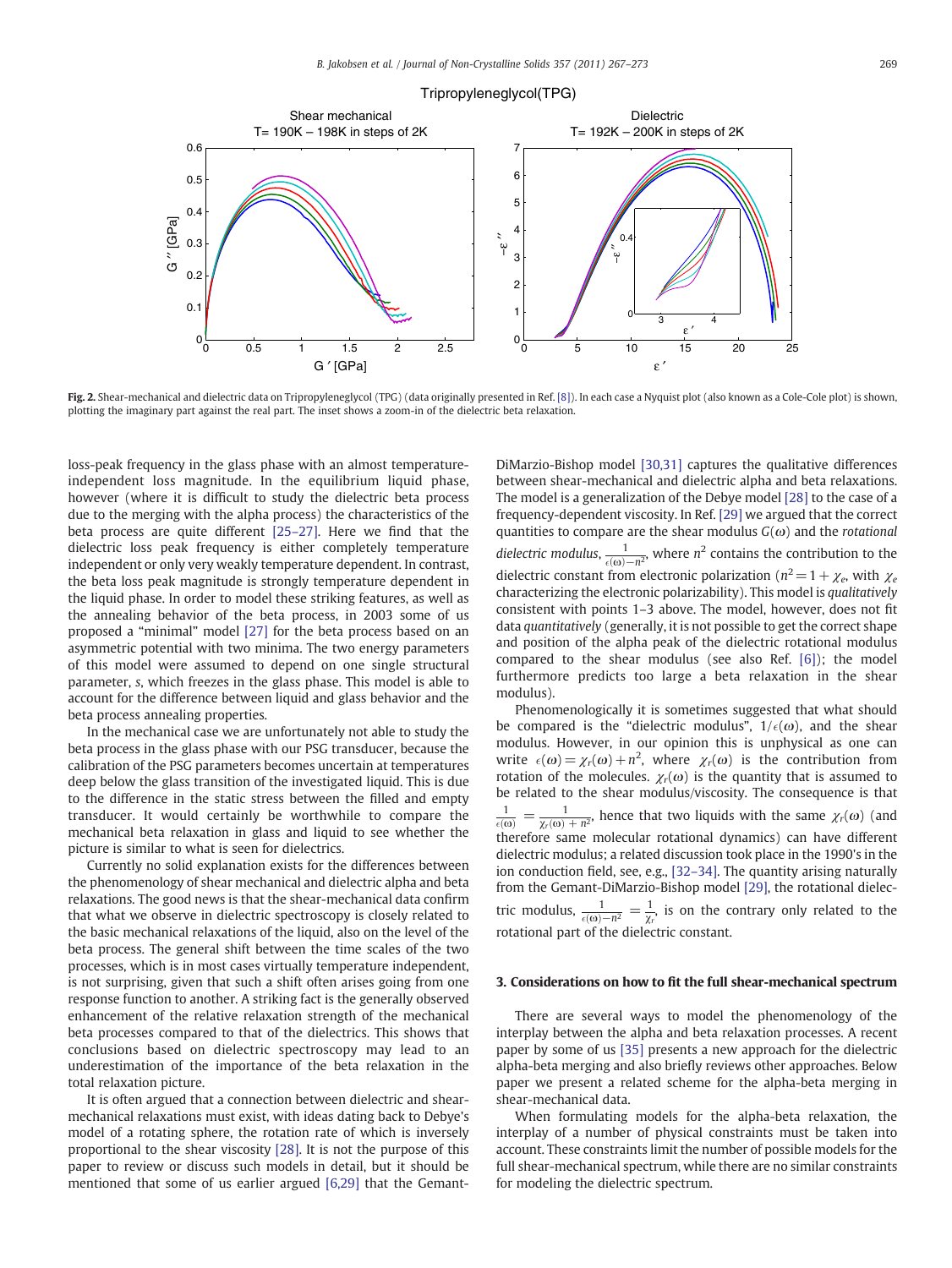<span id="page-2-0"></span>

Fig. 2. Shear-mechanical and dielectric data on Tripropyleneglycol (TPG) (data originally presented in Ref. [\[8\]\)](#page-6-0). In each case a Nyquist plot (also known as a Cole-Cole plot) is shown, plotting the imaginary part against the real part. The inset shows a zoom-in of the dielectric beta relaxation.

loss-peak frequency in the glass phase with an almost temperatureindependent loss magnitude. In the equilibrium liquid phase, however (where it is difficult to study the dielectric beta process due to the merging with the alpha process) the characteristics of the beta process are quite different [25–[27\].](#page-6-0) Here we find that the dielectric loss peak frequency is either completely temperature independent or only very weakly temperature dependent. In contrast, the beta loss peak magnitude is strongly temperature dependent in the liquid phase. In order to model these striking features, as well as the annealing behavior of the beta process, in 2003 some of us proposed a "minimal" model [\[27\]](#page-6-0) for the beta process based on an asymmetric potential with two minima. The two energy parameters of this model were assumed to depend on one single structural parameter, s, which freezes in the glass phase. This model is able to account for the difference between liquid and glass behavior and the beta process annealing properties.

In the mechanical case we are unfortunately not able to study the beta process in the glass phase with our PSG transducer, because the calibration of the PSG parameters becomes uncertain at temperatures deep below the glass transition of the investigated liquid. This is due to the difference in the static stress between the filled and empty transducer. It would certainly be worthwhile to compare the mechanical beta relaxation in glass and liquid to see whether the picture is similar to what is seen for dielectrics.

Currently no solid explanation exists for the differences between the phenomenology of shear mechanical and dielectric alpha and beta relaxations. The good news is that the shear-mechanical data confirm that what we observe in dielectric spectroscopy is closely related to the basic mechanical relaxations of the liquid, also on the level of the beta process. The general shift between the time scales of the two processes, which is in most cases virtually temperature independent, is not surprising, given that such a shift often arises going from one response function to another. A striking fact is the generally observed enhancement of the relative relaxation strength of the mechanical beta processes compared to that of the dielectrics. This shows that conclusions based on dielectric spectroscopy may lead to an underestimation of the importance of the beta relaxation in the total relaxation picture.

It is often argued that a connection between dielectric and shearmechanical relaxations must exist, with ideas dating back to Debye's model of a rotating sphere, the rotation rate of which is inversely proportional to the shear viscosity [\[28\]](#page-6-0). It is not the purpose of this paper to review or discuss such models in detail, but it should be mentioned that some of us earlier argued [\[6,29\]](#page-6-0) that the GemantDiMarzio-Bishop model [\[30,31\]](#page-6-0) captures the qualitative differences between shear-mechanical and dielectric alpha and beta relaxations. The model is a generalization of the Debye model [\[28\]](#page-6-0) to the case of a frequency-dependent viscosity. In Ref. [\[29\]](#page-6-0) we argued that the correct quantities to compare are the shear modulus  $G(\omega)$  and the rotational dielectric modulus,  $\frac{1}{\epsilon(\omega)-n^2}$ , where  $n^2$  contains the contribution to the dielectric constant from electronic polarization ( $n^2=1+\chi_e$ , with  $\chi_e$ characterizing the electronic polarizability). This model is qualitatively consistent with points 1–3 above. The model, however, does not fit data quantitatively (generally, it is not possible to get the correct shape and position of the alpha peak of the dielectric rotational modulus compared to the shear modulus (see also Ref. [\[6\]\)](#page-6-0); the model furthermore predicts too large a beta relaxation in the shear modulus).

Phenomenologically it is sometimes suggested that what should be compared is the "dielectric modulus",  $1/\epsilon(\omega)$ , and the shear modulus. However, in our opinion this is unphysical as one can write  $\epsilon(\omega) = \chi_r(\omega) + n^2$ , where  $\chi_r(\omega)$  is the contribution from rotation of the molecules.  $\chi_r(\omega)$  is the quantity that is assumed to be related to the shear modulus/viscosity. The consequence is that  $\frac{1}{\chi_r(\omega)} = \frac{1}{\chi_r(\omega) + n^2}$ , hence that two liquids with the same  $\chi_r(\omega)$  (and therefore same molecular rotational dynamics) can have different dielectric modulus; a related discussion took place in the 1990's in the ion conduction field, see, e.g., [32–[34\].](#page-6-0) The quantity arising naturally from the Gemant-DiMarzio-Bishop model [\[29\]](#page-6-0), the rotational dielectric modulus,  $\frac{1}{\epsilon(\omega)-n^2} = \frac{1}{\chi_r}$ , is on the contrary only related to the rotational part of the dielectric constant.

### 3. Considerations on how to fit the full shear-mechanical spectrum

There are several ways to model the phenomenology of the interplay between the alpha and beta relaxation processes. A recent paper by some of us [\[35\]](#page-6-0) presents a new approach for the dielectric alpha-beta merging and also briefly reviews other approaches. Below paper we present a related scheme for the alpha-beta merging in shear-mechanical data.

When formulating models for the alpha-beta relaxation, the interplay of a number of physical constraints must be taken into account. These constraints limit the number of possible models for the full shear-mechanical spectrum, while there are no similar constraints for modeling the dielectric spectrum.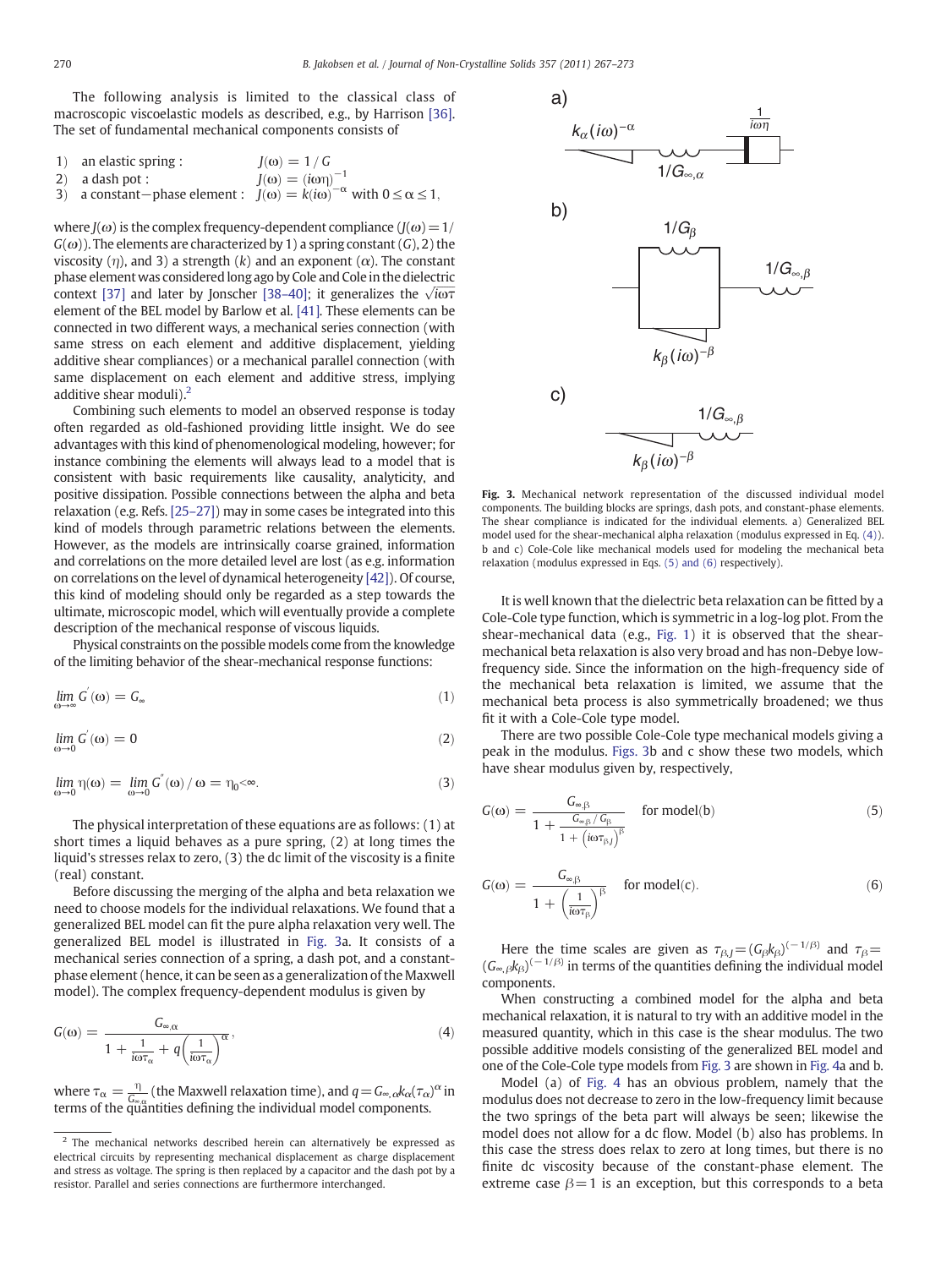<span id="page-3-0"></span>The following analysis is limited to the classical class of macroscopic viscoelastic models as described, e.g., by Harrison [\[36\].](#page-6-0) The set of fundamental mechanical components consists of

| 1) an elastic spring : | $J(\omega) = 1/G$                                                                            |
|------------------------|----------------------------------------------------------------------------------------------|
| $2)$ a dash pot :      | $I(\omega) = (i\omega\eta)^{-1}$                                                             |
|                        | 3) a constant-phase element : $J(\omega) = k(i\omega)^{-\alpha}$ with $0 \le \alpha \le 1$ , |

where  $J(\omega)$  is the complex frequency-dependent compliance  $(J(\omega)=1/\omega)$  $G(\omega)$ ). The elements are characterized by 1) a spring constant (G), 2) the viscosity  $(\eta)$ , and 3) a strength  $(k)$  and an exponent  $(\alpha)$ . The constant phase elementwas considered long ago by Cole and Cole in the dielectric context [\[37\]](#page-6-0) and later by Jonscher [\[38](#page-6-0)–40]; it generalizes the  $\sqrt{i\omega\tau}$ element of the BEL model by Barlow et al. [\[41\]](#page-6-0). These elements can be connected in two different ways, a mechanical series connection (with same stress on each element and additive displacement, yielding additive shear compliances) or a mechanical parallel connection (with same displacement on each element and additive stress, implying additive shear moduli).<sup>2</sup>

Combining such elements to model an observed response is today often regarded as old-fashioned providing little insight. We do see advantages with this kind of phenomenological modeling, however; for instance combining the elements will always lead to a model that is consistent with basic requirements like causality, analyticity, and positive dissipation. Possible connections between the alpha and beta relaxation (e.g. Refs. [\[25](#page-6-0)–27]) may in some cases be integrated into this kind of models through parametric relations between the elements. However, as the models are intrinsically coarse grained, information and correlations on the more detailed level are lost (as e.g. information on correlations on the level of dynamical heterogeneity [\[42\]](#page-6-0)). Of course, this kind of modeling should only be regarded as a step towards the ultimate, microscopic model, which will eventually provide a complete description of the mechanical response of viscous liquids.

Physical constraints on the possible models come from the knowledge of the limiting behavior of the shear-mechanical response functions:

$$
\lim_{\omega \to \infty} G(\omega) = G_{\infty} \tag{1}
$$

$$
\lim_{\omega \to 0} G^{'}(\omega) = 0 \tag{2}
$$

$$
\lim_{\omega \to 0} \eta(\omega) = \lim_{\omega \to 0} G^{''}(\omega) / \omega = \eta_0 < \infty.
$$
 (3)

The physical interpretation of these equations are as follows: (1) at short times a liquid behaves as a pure spring, (2) at long times the liquid's stresses relax to zero, (3) the dc limit of the viscosity is a finite (real) constant.

Before discussing the merging of the alpha and beta relaxation we need to choose models for the individual relaxations. We found that a generalized BEL model can fit the pure alpha relaxation very well. The generalized BEL model is illustrated in Fig. 3a. It consists of a mechanical series connection of a spring, a dash pot, and a constantphase element (hence, it can be seen as a generalization of the Maxwell model). The complex frequency-dependent modulus is given by

$$
G(\omega) = \frac{G_{\infty,\alpha}}{1 + \frac{1}{i\omega\tau_{\alpha}} + q\left(\frac{1}{i\omega\tau_{\alpha}}\right)^{\alpha}},
$$
\n(4)

where  $\tau_{\alpha} = \frac{\eta}{G_{\infty} \alpha}$  (the Maxwell relaxation time), and  $q = G_{\infty} \alpha k \alpha (\tau_{\alpha})^{\alpha}$  in terms of the quantities defining the individual model components.



Fig. 3. Mechanical network representation of the discussed individual model components. The building blocks are springs, dash pots, and constant-phase elements. The shear compliance is indicated for the individual elements. a) Generalized BEL model used for the shear-mechanical alpha relaxation (modulus expressed in Eq. (4)). b and c) Cole-Cole like mechanical models used for modeling the mechanical beta relaxation (modulus expressed in Eqs. (5) and (6) respectively).

It is well known that the dielectric beta relaxation can be fitted by a Cole-Cole type function, which is symmetric in a log-log plot. From the shear-mechanical data (e.g., [Fig. 1\)](#page-1-0) it is observed that the shearmechanical beta relaxation is also very broad and has non-Debye lowfrequency side. Since the information on the high-frequency side of the mechanical beta relaxation is limited, we assume that the mechanical beta process is also symmetrically broadened; we thus fit it with a Cole-Cole type model.

There are two possible Cole-Cole type mechanical models giving a peak in the modulus. Figs. 3b and c show these two models, which have shear modulus given by, respectively,

$$
G(\omega) = \frac{G_{\infty,\beta}}{1 + \frac{G_{\infty,\beta}/G_{\beta}}{1 + \left(i\omega\tau_{\beta}\right)^{\beta}}}
$$
 for model(b) (5)

$$
G(\omega) = \frac{G_{\omega,\beta}}{1 + \left(\frac{1}{i\omega\tau_{\beta}}\right)^{\beta}} \quad \text{for model}(c). \tag{6}
$$

Here the time scales are given as  $\tau_{\beta} = (G_{\beta} k_{\beta})^{(-1/\beta)}$  and  $\tau_{\beta} =$  $(G_{\infty,\beta}k_{\beta})^{(-1/\beta)}$  in terms of the quantities defining the individual model components.

When constructing a combined model for the alpha and beta mechanical relaxation, it is natural to try with an additive model in the measured quantity, which in this case is the shear modulus. The two possible additive models consisting of the generalized BEL model and one of the Cole-Cole type models from Fig. 3 are shown in [Fig. 4](#page-4-0)a and b.

Model (a) of [Fig. 4](#page-4-0) has an obvious problem, namely that the modulus does not decrease to zero in the low-frequency limit because the two springs of the beta part will always be seen; likewise the model does not allow for a dc flow. Model (b) also has problems. In this case the stress does relax to zero at long times, but there is no finite dc viscosity because of the constant-phase element. The extreme case  $\beta = 1$  is an exception, but this corresponds to a beta

<sup>&</sup>lt;sup>2</sup> The mechanical networks described herein can alternatively be expressed as electrical circuits by representing mechanical displacement as charge displacement and stress as voltage. The spring is then replaced by a capacitor and the dash pot by a resistor. Parallel and series connections are furthermore interchanged.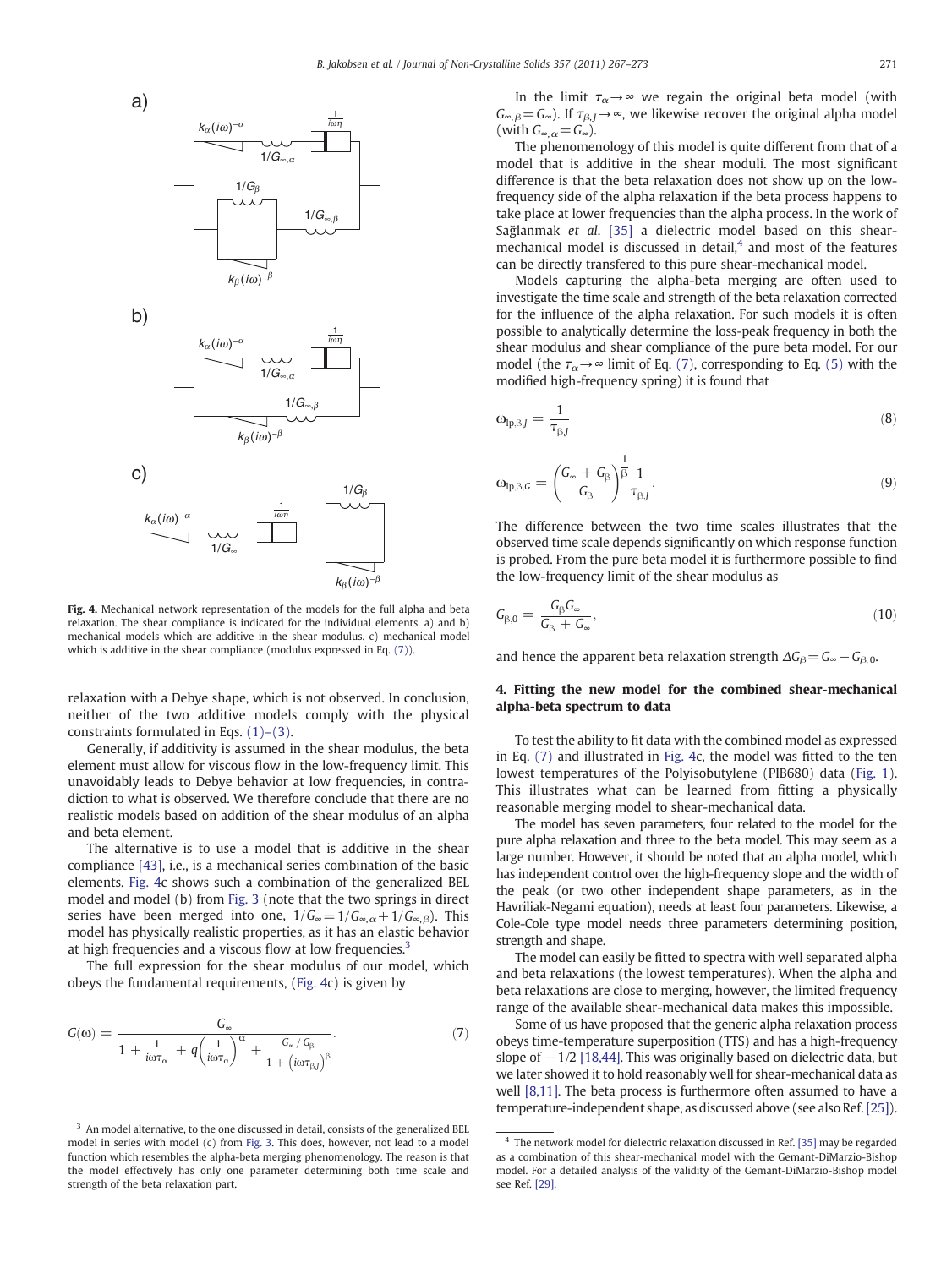<span id="page-4-0"></span>

Fig. 4. Mechanical network representation of the models for the full alpha and beta relaxation. The shear compliance is indicated for the individual elements. a) and b) mechanical models which are additive in the shear modulus. c) mechanical model which is additive in the shear compliance (modulus expressed in Eq. (7)).

relaxation with a Debye shape, which is not observed. In conclusion, neither of the two additive models comply with the physical constraints formulated in Eqs. (1)–(3).

Generally, if additivity is assumed in the shear modulus, the beta element must allow for viscous flow in the low-frequency limit. This unavoidably leads to Debye behavior at low frequencies, in contradiction to what is observed. We therefore conclude that there are no realistic models based on addition of the shear modulus of an alpha and beta element.

The alternative is to use a model that is additive in the shear compliance [\[43\]](#page-6-0), i.e., is a mechanical series combination of the basic elements. Fig. 4c shows such a combination of the generalized BEL model and model (b) from [Fig. 3](#page-3-0) (note that the two springs in direct series have been merged into one,  $1/G_{\infty}=1/G_{\infty,\alpha}+1/G_{\infty,\beta}$ ). This model has physically realistic properties, as it has an elastic behavior at high frequencies and a viscous flow at low frequencies. $3$ 

The full expression for the shear modulus of our model, which obeys the fundamental requirements, (Fig. 4c) is given by

$$
G(\omega) = \frac{G_{\infty}}{1 + \frac{1}{i\omega\tau_{\alpha}} + q\left(\frac{1}{i\omega\tau_{\alpha}}\right)^{\alpha} + \frac{G_{\infty}/G_{\beta}}{1 + \left(i\omega\tau_{\beta,j}\right)^{\beta}}}. \tag{7}
$$

In the limit  $\tau_{\alpha} \rightarrow \infty$  we regain the original beta model (with  $G_{\infty,\beta} = G_{\infty}$ ). If  $\tau_{\beta,J} \rightarrow \infty$ , we likewise recover the original alpha model (with  $G_{\infty}$   $_{\alpha} = G_{\infty}$ ).

The phenomenology of this model is quite different from that of a model that is additive in the shear moduli. The most significant difference is that the beta relaxation does not show up on the lowfrequency side of the alpha relaxation if the beta process happens to take place at lower frequencies than the alpha process. In the work of Sağlanmak et al. [\[35\]](#page-6-0) a dielectric model based on this shearmechanical model is discussed in detail, $4$  and most of the features can be directly transfered to this pure shear-mechanical model.

Models capturing the alpha-beta merging are often used to investigate the time scale and strength of the beta relaxation corrected for the influence of the alpha relaxation. For such models it is often possible to analytically determine the loss-peak frequency in both the shear modulus and shear compliance of the pure beta model. For our model (the  $\tau_{\alpha} \rightarrow \infty$  limit of Eq. (7), corresponding to Eq. (5) with the modified high-frequency spring) it is found that

$$
\omega_{\text{lp},\beta} = \frac{1}{\tau_{\beta} \mathbf{J}} \tag{8}
$$

$$
\omega_{\mathrm{lp},\beta,G} = \left(\frac{G_{\infty} + G_{\beta}}{G_{\beta}}\right)^{\frac{1}{\beta}} \frac{1}{\tau_{\beta J}}.\tag{9}
$$

The difference between the two time scales illustrates that the observed time scale depends significantly on which response function is probed. From the pure beta model it is furthermore possible to find the low-frequency limit of the shear modulus as

$$
G_{\beta,0} = \frac{G_{\beta} G_{\infty}}{G_{\beta} + G_{\infty}},\tag{10}
$$

and hence the apparent beta relaxation strength  $\Delta G_{\beta} = G_{\infty} - G_{\beta, 0}$ .

# 4. Fitting the new model for the combined shear-mechanical alpha-beta spectrum to data

To test the ability to fit data with the combined model as expressed in Eq. (7) and illustrated in Fig. 4c, the model was fitted to the ten lowest temperatures of the Polyisobutylene (PIB680) data ([Fig. 1](#page-1-0)). This illustrates what can be learned from fitting a physically reasonable merging model to shear-mechanical data.

The model has seven parameters, four related to the model for the pure alpha relaxation and three to the beta model. This may seem as a large number. However, it should be noted that an alpha model, which has independent control over the high-frequency slope and the width of the peak (or two other independent shape parameters, as in the Havriliak-Negami equation), needs at least four parameters. Likewise, a Cole-Cole type model needs three parameters determining position, strength and shape.

The model can easily be fitted to spectra with well separated alpha and beta relaxations (the lowest temperatures). When the alpha and beta relaxations are close to merging, however, the limited frequency range of the available shear-mechanical data makes this impossible.

Some of us have proposed that the generic alpha relaxation process obeys time-temperature superposition (TTS) and has a high-frequency slope of  $-1/2$  [\[18,44\]](#page-6-0). This was originally based on dielectric data, but we later showed it to hold reasonably well for shear-mechanical data as well [\[8,11\]](#page-6-0). The beta process is furthermore often assumed to have a temperature-independent shape, as discussed above (see also Ref.[\[25\]](#page-6-0)).

 $3$  An model alternative, to the one discussed in detail, consists of the generalized BEL model in series with model (c) from [Fig. 3](#page-3-0). This does, however, not lead to a model function which resembles the alpha-beta merging phenomenology. The reason is that the model effectively has only one parameter determining both time scale and strength of the beta relaxation part.

<sup>4</sup> The network model for dielectric relaxation discussed in Ref. [\[35\]](#page-6-0) may be regarded as a combination of this shear-mechanical model with the Gemant-DiMarzio-Bishop model. For a detailed analysis of the validity of the Gemant-DiMarzio-Bishop model see Ref. [\[29\].](#page-6-0)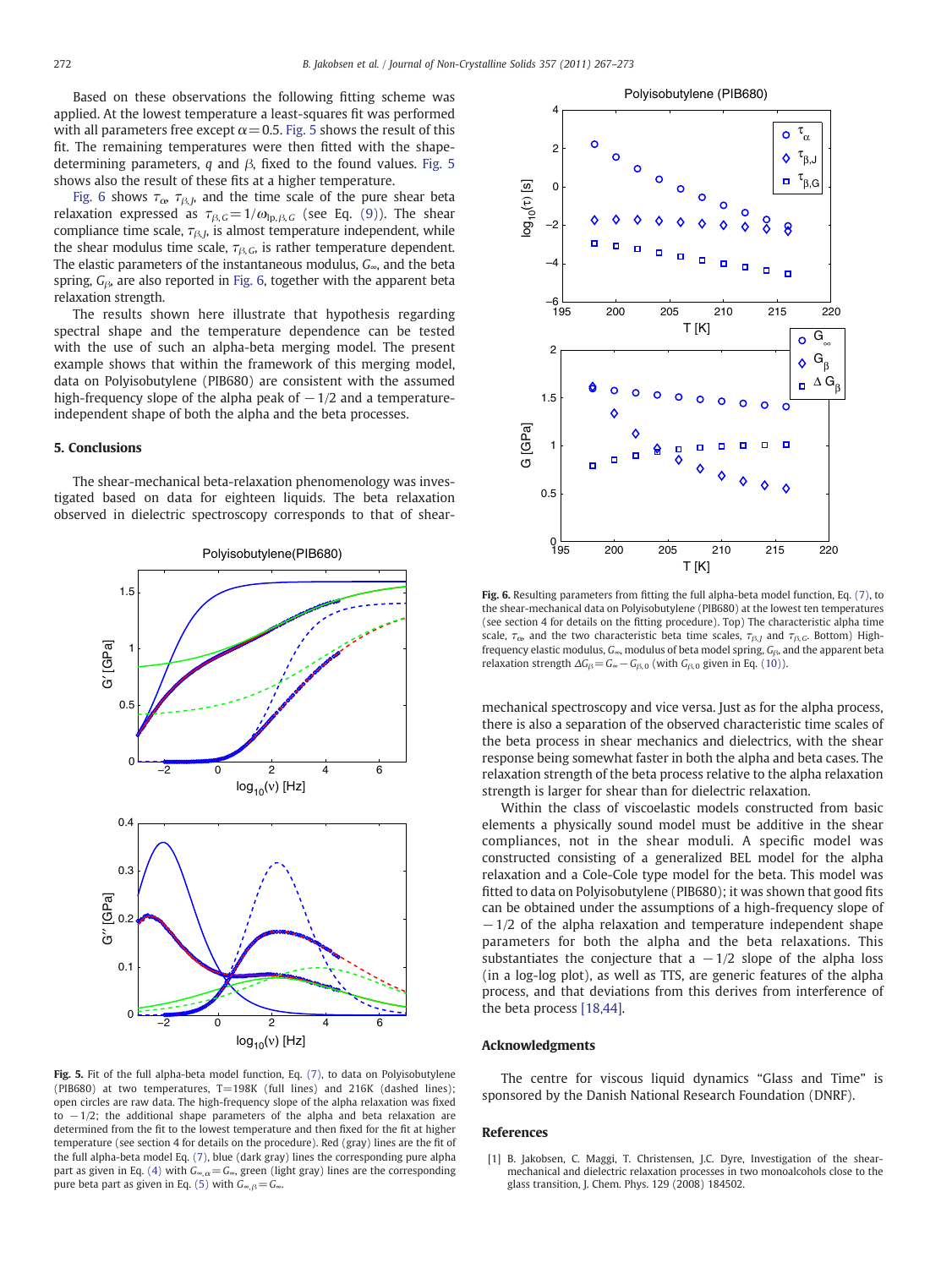<span id="page-5-0"></span>Based on these observations the following fitting scheme was applied. At the lowest temperature a least-squares fit was performed with all parameters free except  $\alpha$  = 0.5. Fig. 5 shows the result of this fit. The remaining temperatures were then fitted with the shapedetermining parameters, q and  $\beta$ , fixed to the found values. Fig. 5 shows also the result of these fits at a higher temperature.

Fig. 6 shows  $\tau_{\alpha}$ ,  $\tau_{\beta,h}$ , and the time scale of the pure shear beta relaxation expressed as  $\tau_{\beta,G} = 1/\omega_{\text{lb},\beta,G}$  (see Eq. (9)). The shear compliance time scale,  $\tau_{\beta,b}$  is almost temperature independent, while the shear modulus time scale,  $\tau_{\beta,G}$ , is rather temperature dependent. The elastic parameters of the instantaneous modulus, G∞, and the beta spring,  $G_{\beta}$ , are also reported in Fig. 6, together with the apparent beta relaxation strength.

The results shown here illustrate that hypothesis regarding spectral shape and the temperature dependence can be tested with the use of such an alpha-beta merging model. The present example shows that within the framework of this merging model, data on Polyisobutylene (PIB680) are consistent with the assumed high-frequency slope of the alpha peak of  $-1/2$  and a temperatureindependent shape of both the alpha and the beta processes.

# 5. Conclusions

The shear-mechanical beta-relaxation phenomenology was investigated based on data for eighteen liquids. The beta relaxation observed in dielectric spectroscopy corresponds to that of shear-



Fig. 5. Fit of the full alpha-beta model function, Eq. (7), to data on Polyisobutylene (PIB680) at two temperatures,  $T=198K$  (full lines) and 216K (dashed lines); open circles are raw data. The high-frequency slope of the alpha relaxation was fixed to −1/2; the additional shape parameters of the alpha and beta relaxation are determined from the fit to the lowest temperature and then fixed for the fit at higher temperature (see section 4 for details on the procedure). Red (gray) lines are the fit of the full alpha-beta model Eq. (7), blue (dark gray) lines the corresponding pure alpha part as given in Eq. (4) with  $G_{\infty,\alpha} = G_{\infty}$ , green (light gray) lines are the corresponding pure beta part as given in Eq. (5) with  $G_{\infty,\beta} = G_{\infty}$ .



Fig. 6. Resulting parameters from fitting the full alpha-beta model function, Eq. (7), to the shear-mechanical data on Polyisobutylene (PIB680) at the lowest ten temperatures (see section 4 for details on the fitting procedure). Top) The characteristic alpha time scale,  $\tau_{\alpha}$ , and the two characteristic beta time scales,  $\tau_{\beta}$ , and  $\tau_{\beta,G}$ . Bottom) Highfrequency elastic modulus,  $G_{\infty}$ , modulus of beta model spring,  $G_{\beta}$ , and the apparent beta relaxation strength  $\Delta G_{\beta} = G_{\infty} - G_{\beta, 0}$  (with  $G_{\beta, 0}$  given in Eq. (10)).

mechanical spectroscopy and vice versa. Just as for the alpha process, there is also a separation of the observed characteristic time scales of the beta process in shear mechanics and dielectrics, with the shear response being somewhat faster in both the alpha and beta cases. The relaxation strength of the beta process relative to the alpha relaxation strength is larger for shear than for dielectric relaxation.

Within the class of viscoelastic models constructed from basic elements a physically sound model must be additive in the shear compliances, not in the shear moduli. A specific model was constructed consisting of a generalized BEL model for the alpha relaxation and a Cole-Cole type model for the beta. This model was fitted to data on Polyisobutylene (PIB680); it was shown that good fits can be obtained under the assumptions of a high-frequency slope of  $-1/2$  of the alpha relaxation and temperature independent shape parameters for both the alpha and the beta relaxations. This substantiates the conjecture that a  $-1/2$  slope of the alpha loss (in a log-log plot), as well as TTS, are generic features of the alpha process, and that deviations from this derives from interference of the beta process [\[18,44\]](#page-6-0).

#### Acknowledgments

The centre for viscous liquid dynamics "Glass and Time" is sponsored by the Danish National Research Foundation (DNRF).

## References

[1] B. Jakobsen, C. Maggi, T. Christensen, J.C. Dyre, Investigation of the shearmechanical and dielectric relaxation processes in two monoalcohols close to the glass transition, J. Chem. Phys. 129 (2008) 184502.